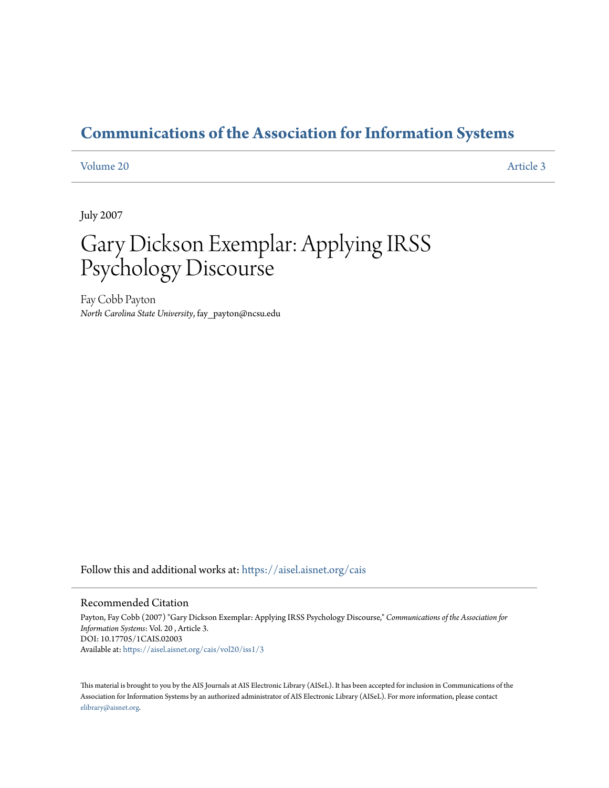# **[Communications of the Association for Information Systems](https://aisel.aisnet.org/cais?utm_source=aisel.aisnet.org%2Fcais%2Fvol20%2Fiss1%2F3&utm_medium=PDF&utm_campaign=PDFCoverPages)**

### [Volume 20](https://aisel.aisnet.org/cais/vol20?utm_source=aisel.aisnet.org%2Fcais%2Fvol20%2Fiss1%2F3&utm_medium=PDF&utm_campaign=PDFCoverPages) [Article 3](https://aisel.aisnet.org/cais/vol20/iss1/3?utm_source=aisel.aisnet.org%2Fcais%2Fvol20%2Fiss1%2F3&utm_medium=PDF&utm_campaign=PDFCoverPages)

July 2007

# Gary Dickson Exemplar: Applying IRSS Psychology Discourse

Fay Cobb Payton *North Carolina State University*, fay\_payton@ncsu.edu

Follow this and additional works at: [https://aisel.aisnet.org/cais](https://aisel.aisnet.org/cais?utm_source=aisel.aisnet.org%2Fcais%2Fvol20%2Fiss1%2F3&utm_medium=PDF&utm_campaign=PDFCoverPages)

#### Recommended Citation

Payton, Fay Cobb (2007) "Gary Dickson Exemplar: Applying IRSS Psychology Discourse," *Communications of the Association for Information Systems*: Vol. 20 , Article 3. DOI: 10.17705/1CAIS.02003 Available at: [https://aisel.aisnet.org/cais/vol20/iss1/3](https://aisel.aisnet.org/cais/vol20/iss1/3?utm_source=aisel.aisnet.org%2Fcais%2Fvol20%2Fiss1%2F3&utm_medium=PDF&utm_campaign=PDFCoverPages)

This material is brought to you by the AIS Journals at AIS Electronic Library (AISeL). It has been accepted for inclusion in Communications of the Association for Information Systems by an authorized administrator of AIS Electronic Library (AISeL). For more information, please contact [elibrary@aisnet.org.](mailto:elibrary@aisnet.org%3E)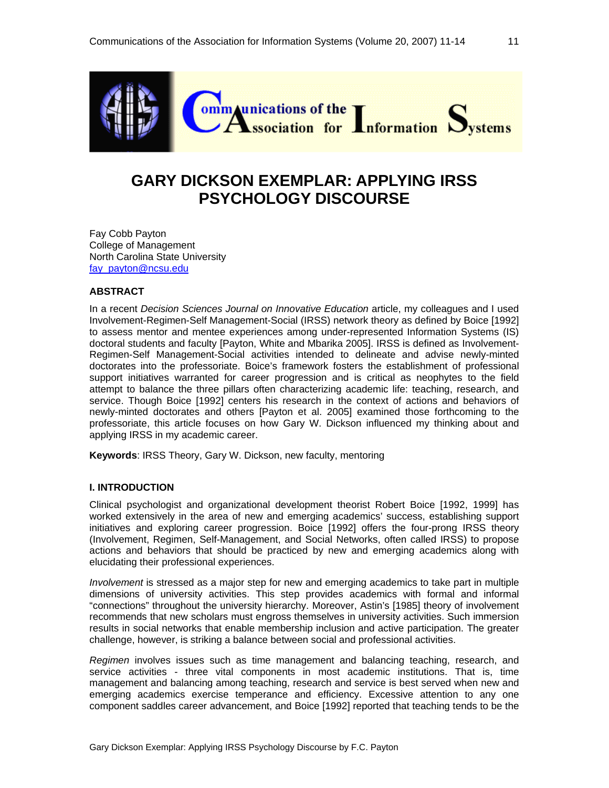

# **GARY DICKSON EXEMPLAR: APPLYING IRSS PSYCHOLOGY DISCOURSE**

Fay Cobb Payton College of Management North Carolina State University fay\_payton@ncsu.edu

#### **ABSTRACT**

In a recent *Decision Sciences Journal on Innovative Education* article, my colleagues and I used Involvement-Regimen-Self Management-Social (IRSS) network theory as defined by Boice [1992] to assess mentor and mentee experiences among under-represented Information Systems (IS) doctoral students and faculty [Payton, White and Mbarika 2005]. IRSS is defined as Involvement-Regimen-Self Management-Social activities intended to delineate and advise newly-minted doctorates into the professoriate. Boice's framework fosters the establishment of professional support initiatives warranted for career progression and is critical as neophytes to the field attempt to balance the three pillars often characterizing academic life: teaching, research, and service. Though Boice [1992] centers his research in the context of actions and behaviors of newly-minted doctorates and others [Payton et al. 2005] examined those forthcoming to the professoriate, this article focuses on how Gary W. Dickson influenced my thinking about and applying IRSS in my academic career.

**Keywords**: IRSS Theory, Gary W. Dickson, new faculty, mentoring

#### **I. INTRODUCTION**

Clinical psychologist and organizational development theorist Robert Boice [1992, 1999] has worked extensively in the area of new and emerging academics' success, establishing support initiatives and exploring career progression. Boice [1992] offers the four-prong IRSS theory (Involvement, Regimen, Self-Management, and Social Networks, often called IRSS) to propose actions and behaviors that should be practiced by new and emerging academics along with elucidating their professional experiences.

*Involvement* is stressed as a major step for new and emerging academics to take part in multiple dimensions of university activities. This step provides academics with formal and informal "connections" throughout the university hierarchy. Moreover, Astin's [1985] theory of involvement recommends that new scholars must engross themselves in university activities. Such immersion results in social networks that enable membership inclusion and active participation. The greater challenge, however, is striking a balance between social and professional activities.

*Regimen* involves issues such as time management and balancing teaching, research, and service activities - three vital components in most academic institutions. That is, time management and balancing among teaching, research and service is best served when new and emerging academics exercise temperance and efficiency. Excessive attention to any one component saddles career advancement, and Boice [1992] reported that teaching tends to be the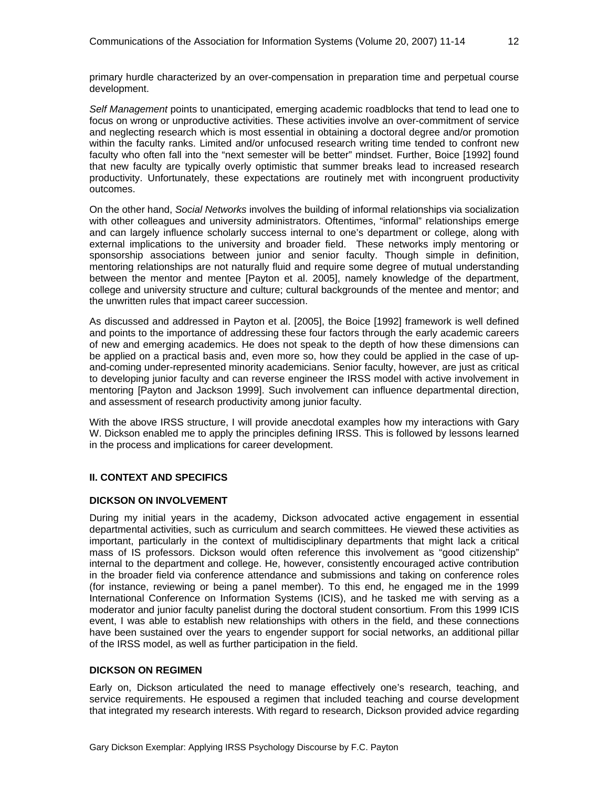primary hurdle characterized by an over-compensation in preparation time and perpetual course development.

*Self Management* points to unanticipated, emerging academic roadblocks that tend to lead one to focus on wrong or unproductive activities. These activities involve an over-commitment of service and neglecting research which is most essential in obtaining a doctoral degree and/or promotion within the faculty ranks. Limited and/or unfocused research writing time tended to confront new faculty who often fall into the "next semester will be better" mindset. Further, Boice [1992] found that new faculty are typically overly optimistic that summer breaks lead to increased research productivity. Unfortunately, these expectations are routinely met with incongruent productivity outcomes.

On the other hand, *Social Networks* involves the building of informal relationships via socialization with other colleagues and university administrators. Oftentimes, "informal" relationships emerge and can largely influence scholarly success internal to one's department or college, along with external implications to the university and broader field. These networks imply mentoring or sponsorship associations between junior and senior faculty. Though simple in definition, mentoring relationships are not naturally fluid and require some degree of mutual understanding between the mentor and mentee [Payton et al. 2005], namely knowledge of the department, college and university structure and culture; cultural backgrounds of the mentee and mentor; and the unwritten rules that impact career succession.

As discussed and addressed in Payton et al. [2005], the Boice [1992] framework is well defined and points to the importance of addressing these four factors through the early academic careers of new and emerging academics. He does not speak to the depth of how these dimensions can be applied on a practical basis and, even more so, how they could be applied in the case of upand-coming under-represented minority academicians. Senior faculty, however, are just as critical to developing junior faculty and can reverse engineer the IRSS model with active involvement in mentoring [Payton and Jackson 1999]. Such involvement can influence departmental direction, and assessment of research productivity among junior faculty.

With the above IRSS structure, I will provide anecdotal examples how my interactions with Gary W. Dickson enabled me to apply the principles defining IRSS. This is followed by lessons learned in the process and implications for career development.

## **II. CONTEXT AND SPECIFICS**

#### **DICKSON ON INVOLVEMENT**

During my initial years in the academy, Dickson advocated active engagement in essential departmental activities, such as curriculum and search committees. He viewed these activities as important, particularly in the context of multidisciplinary departments that might lack a critical mass of IS professors. Dickson would often reference this involvement as "good citizenship" internal to the department and college. He, however, consistently encouraged active contribution in the broader field via conference attendance and submissions and taking on conference roles (for instance, reviewing or being a panel member). To this end, he engaged me in the 1999 International Conference on Information Systems (ICIS), and he tasked me with serving as a moderator and junior faculty panelist during the doctoral student consortium. From this 1999 ICIS event, I was able to establish new relationships with others in the field, and these connections have been sustained over the years to engender support for social networks, an additional pillar of the IRSS model, as well as further participation in the field.

#### **DICKSON ON REGIMEN**

Early on, Dickson articulated the need to manage effectively one's research, teaching, and service requirements. He espoused a regimen that included teaching and course development that integrated my research interests. With regard to research, Dickson provided advice regarding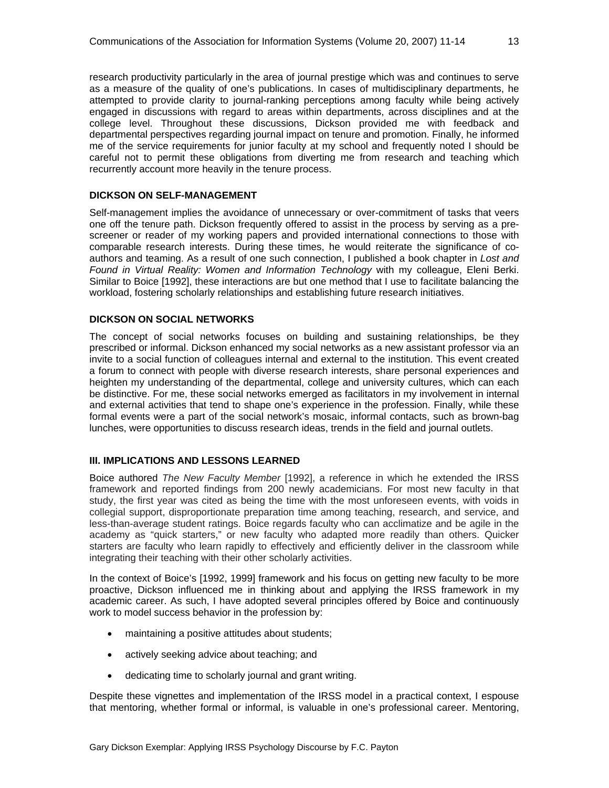research productivity particularly in the area of journal prestige which was and continues to serve as a measure of the quality of one's publications. In cases of multidisciplinary departments, he attempted to provide clarity to journal-ranking perceptions among faculty while being actively engaged in discussions with regard to areas within departments, across disciplines and at the college level. Throughout these discussions, Dickson provided me with feedback and departmental perspectives regarding journal impact on tenure and promotion. Finally, he informed me of the service requirements for junior faculty at my school and frequently noted I should be careful not to permit these obligations from diverting me from research and teaching which recurrently account more heavily in the tenure process.

#### **DICKSON ON SELF-MANAGEMENT**

Self-management implies the avoidance of unnecessary or over-commitment of tasks that veers one off the tenure path. Dickson frequently offered to assist in the process by serving as a prescreener or reader of my working papers and provided international connections to those with comparable research interests. During these times, he would reiterate the significance of coauthors and teaming. As a result of one such connection, I published a book chapter in *Lost and Found in Virtual Reality: Women and Information Technology* with my colleague, Eleni Berki. Similar to Boice [1992], these interactions are but one method that I use to facilitate balancing the workload, fostering scholarly relationships and establishing future research initiatives.

#### **DICKSON ON SOCIAL NETWORKS**

The concept of social networks focuses on building and sustaining relationships, be they prescribed or informal. Dickson enhanced my social networks as a new assistant professor via an invite to a social function of colleagues internal and external to the institution. This event created a forum to connect with people with diverse research interests, share personal experiences and heighten my understanding of the departmental, college and university cultures, which can each be distinctive. For me, these social networks emerged as facilitators in my involvement in internal and external activities that tend to shape one's experience in the profession. Finally, while these formal events were a part of the social network's mosaic, informal contacts, such as brown-bag lunches, were opportunities to discuss research ideas, trends in the field and journal outlets.

#### **III. IMPLICATIONS AND LESSONS LEARNED**

Boice authored *The New Faculty Member* [1992], a reference in which he extended the IRSS framework and reported findings from 200 newly academicians. For most new faculty in that study, the first year was cited as being the time with the most unforeseen events, with voids in collegial support, disproportionate preparation time among teaching, research, and service, and less-than-average student ratings. Boice regards faculty who can acclimatize and be agile in the academy as "quick starters," or new faculty who adapted more readily than others. Quicker starters are faculty who learn rapidly to effectively and efficiently deliver in the classroom while integrating their teaching with their other scholarly activities.

In the context of Boice's [1992, 1999] framework and his focus on getting new faculty to be more proactive, Dickson influenced me in thinking about and applying the IRSS framework in my academic career. As such, I have adopted several principles offered by Boice and continuously work to model success behavior in the profession by:

- maintaining a positive attitudes about students;
- actively seeking advice about teaching; and
- dedicating time to scholarly journal and grant writing.

Despite these vignettes and implementation of the IRSS model in a practical context, I espouse that mentoring, whether formal or informal, is valuable in one's professional career. Mentoring,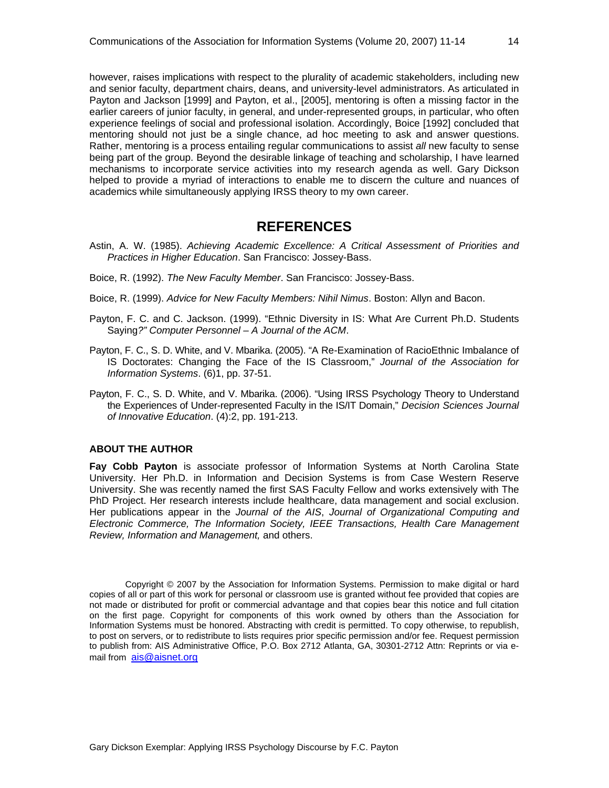however, raises implications with respect to the plurality of academic stakeholders, including new and senior faculty, department chairs, deans, and university-level administrators. As articulated in Payton and Jackson [1999] and Payton, et al., [2005], mentoring is often a missing factor in the earlier careers of junior faculty, in general, and under-represented groups, in particular, who often experience feelings of social and professional isolation. Accordingly, Boice [1992] concluded that mentoring should not just be a single chance, ad hoc meeting to ask and answer questions. Rather, mentoring is a process entailing regular communications to assist *all* new faculty to sense being part of the group. Beyond the desirable linkage of teaching and scholarship, I have learned mechanisms to incorporate service activities into my research agenda as well. Gary Dickson helped to provide a myriad of interactions to enable me to discern the culture and nuances of academics while simultaneously applying IRSS theory to my own career.

# **REFERENCES**

- Astin, A. W. (1985). *Achieving Academic Excellence: A Critical Assessment of Priorities and Practices in Higher Education*. San Francisco: Jossey-Bass.
- Boice, R. (1992). *The New Faculty Member*. San Francisco: Jossey-Bass.
- Boice, R. (1999). *Advice for New Faculty Members: Nihil Nimus*. Boston: Allyn and Bacon.
- Payton, F. C. and C. Jackson. (1999). "Ethnic Diversity in IS: What Are Current Ph.D. Students Saying*?" Computer Personnel – A Journal of the ACM*.
- Payton, F. C., S. D. White, and V. Mbarika. (2005). "A Re-Examination of RacioEthnic Imbalance of IS Doctorates: Changing the Face of the IS Classroom," *Journal of the Association for Information Systems*. (6)1, pp. 37-51.
- Payton, F. C., S. D. White, and V. Mbarika. (2006). "Using IRSS Psychology Theory to Understand the Experiences of Under-represented Faculty in the IS/IT Domain," *Decision Sciences Journal of Innovative Education*. (4):2, pp. 191-213.

#### **ABOUT THE AUTHOR**

**Fay Cobb Payton** is associate professor of Information Systems at North Carolina State University. Her Ph.D. in Information and Decision Systems is from Case Western Reserve University. She was recently named the first SAS Faculty Fellow and works extensively with The PhD Project. Her research interests include healthcare, data management and social exclusion. Her publications appear in the *Journal of the AIS*, *Journal of Organizational Computing and Electronic Commerce, The Information Society, IEEE Transactions, Health Care Management Review, Information and Management,* and others.

Copyright © 2007 by the Association for Information Systems. Permission to make digital or hard copies of all or part of this work for personal or classroom use is granted without fee provided that copies are not made or distributed for profit or commercial advantage and that copies bear this notice and full citation on the first page. Copyright for components of this work owned by others than the Association for Information Systems must be honored. Abstracting with credit is permitted. To copy otherwise, to republish, to post on servers, or to redistribute to lists requires prior specific permission and/or fee. Request permission to publish from: AIS Administrative Office, P.O. Box 2712 Atlanta, GA, 30301-2712 Attn: Reprints or via email from ais@aisnet.org